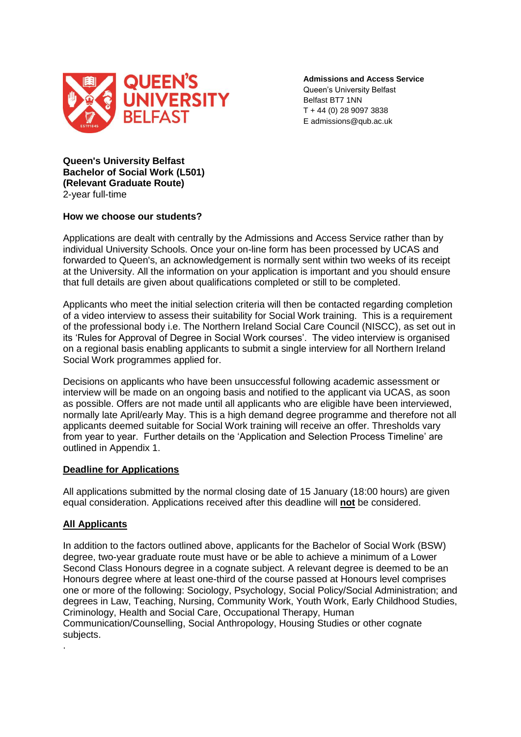

**Admissions and Access Service** Queen's University Belfast Belfast BT7 1NN T + 44 (0) 28 9097 3838 E admissions@qub.ac.uk

**Queen's University Belfast Bachelor of Social Work (L501) (Relevant Graduate Route)** 2-year full-time

### **How we choose our students?**

Applications are dealt with centrally by the Admissions and Access Service rather than by individual University Schools. Once your on-line form has been processed by UCAS and forwarded to Queen's, an acknowledgement is normally sent within two weeks of its receipt at the University. All the information on your application is important and you should ensure that full details are given about qualifications completed or still to be completed.

Applicants who meet the initial selection criteria will then be contacted regarding completion of a video interview to assess their suitability for Social Work training. This is a requirement of the professional body i.e. The Northern Ireland Social Care Council (NISCC), as set out in its 'Rules for Approval of Degree in Social Work courses'. The video interview is organised on a regional basis enabling applicants to submit a single interview for all Northern Ireland Social Work programmes applied for.

Decisions on applicants who have been unsuccessful following academic assessment or interview will be made on an ongoing basis and notified to the applicant via UCAS, as soon as possible. Offers are not made until all applicants who are eligible have been interviewed, normally late April/early May. This is a high demand degree programme and therefore not all applicants deemed suitable for Social Work training will receive an offer. Thresholds vary from year to year. Further details on the 'Application and Selection Process Timeline' are outlined in Appendix 1.

# **Deadline for Applications**

All applications submitted by the normal closing date of 15 January (18:00 hours) are given equal consideration. Applications received after this deadline will **not** be considered.

# **All Applicants**

.

In addition to the factors outlined above, applicants for the Bachelor of Social Work (BSW) degree, two-year graduate route must have or be able to achieve a minimum of a Lower Second Class Honours degree in a cognate subject. A relevant degree is deemed to be an Honours degree where at least one-third of the course passed at Honours level comprises one or more of the following: Sociology, Psychology, Social Policy/Social Administration; and degrees in Law, Teaching, Nursing, Community Work, Youth Work, Early Childhood Studies, Criminology, Health and Social Care, Occupational Therapy, Human Communication/Counselling, Social Anthropology, Housing Studies or other cognate subjects.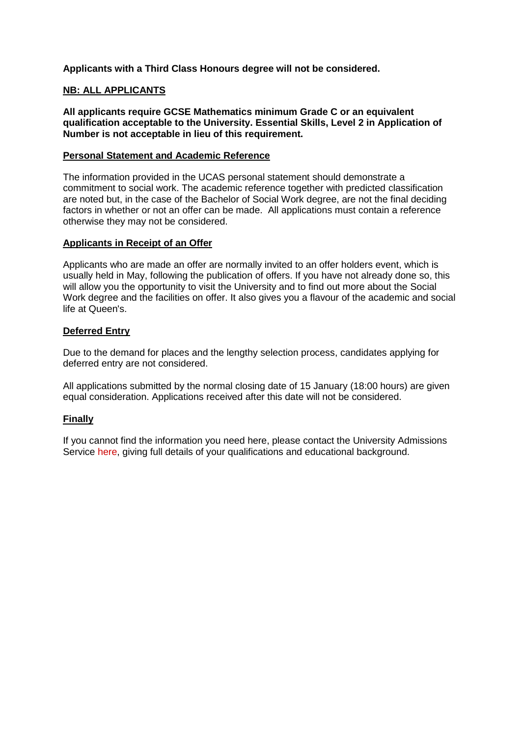**Applicants with a Third Class Honours degree will not be considered.** 

# **NB: ALL APPLICANTS**

**All applicants require GCSE Mathematics minimum Grade C or an equivalent qualification acceptable to the University. Essential Skills, Level 2 in Application of Number is not acceptable in lieu of this requirement.**

### **Personal Statement and Academic Reference**

The information provided in the UCAS personal statement should demonstrate a commitment to social work. The academic reference together with predicted classification are noted but, in the case of the Bachelor of Social Work degree, are not the final deciding factors in whether or not an offer can be made. All applications must contain a reference otherwise they may not be considered.

### **Applicants in Receipt of an Offer**

Applicants who are made an offer are normally invited to an offer holders event, which is usually held in May, following the publication of offers. If you have not already done so, this will allow you the opportunity to visit the University and to find out more about the Social Work degree and the facilities on offer. It also gives you a flavour of the academic and social life at Queen's.

# **Deferred Entry**

Due to the demand for places and the lengthy selection process, candidates applying for deferred entry are not considered.

All applications submitted by the normal closing date of 15 January (18:00 hours) are given equal consideration. Applications received after this date will not be considered.

# **Finally**

If you cannot find the information you need here, please contact the University Admissions Service [here,](mailto:admissionsbsw@qub.ac.uk) giving full details of your qualifications and educational background.